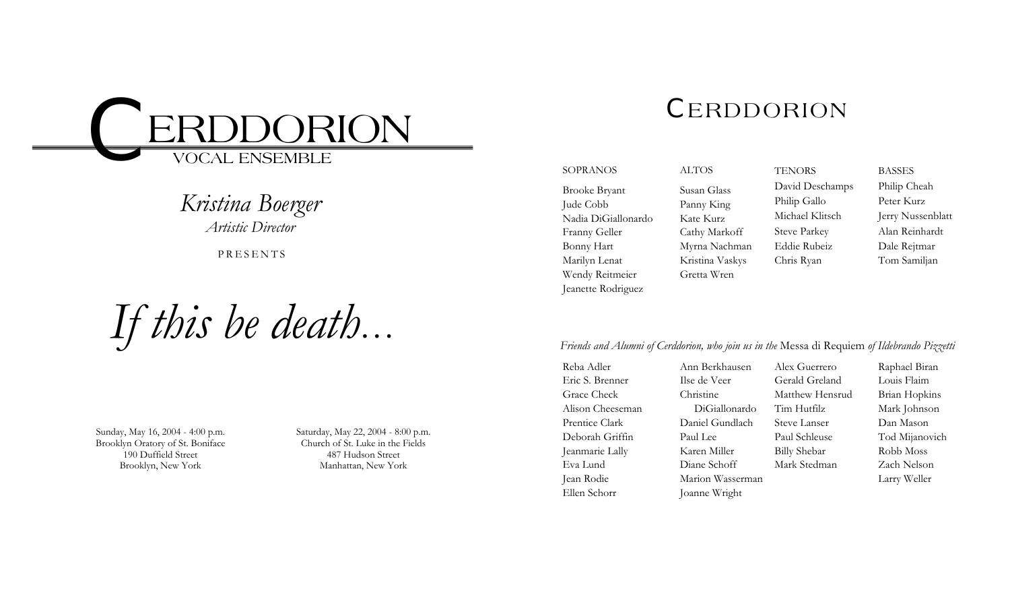

## *Kristina Boerger*

*Artistic Director* 

PRESENTS

*If this be death …*

Sunday, May 16, 2004 - 4:00 p.m. Brooklyn Oratory of St. Boniface 190 Duffield Street Brooklyn, New York

Saturday, May 22, 2004 - 8:00 p.m. Church of St. Luke in the Fields 487 Hudson Street Manhattan, New York

# *C*ERDDORION

**TENORS** 

SOPRANOSBrooke Bryant Jude Cobb Nadia DiGiallonardo Franny Geller Bonny Hart Marilyn Lenat Wendy Reitmeier Jeanette Rodriguez

ALTOSSusan Glass Panny King Kate Kurz Cathy Markoff Myrna Nachman Kristina Vaskys Gretta Wren

David Deschamps Philip Gallo Michael Klitsch Steve Parkey Eddie Rubeiz Chris Ryan BASSESPhilip Cheah Peter Kurz Jerry Nussenblatt Alan Reinhardt Dale Rejtmar Tom Samiljan

## *Friends and Alumni of Cerddorion, who join us in the* Messa di Requiem *of Ildebrando Pizzetti*

Reba Adler Eric S. Brenner Grace Check Alison Cheeseman Prentice Clark Deborah Griffin Jeanmarie Lally Eva Lund Jean Rodie Ellen Schorr

Ann Berkhausen Ilse de Veer Christine DiGiallonardo Daniel Gundlach Paul Lee Karen Miller Diane Schoff Marion Wasserman Joanne Wright Alex Guerrero Gerald Greland Matthew Hensrud Tim Hutfilz Steve Lanser Paul Schleuse Billy Shebar Mark Stedman

Raphael Biran Louis Flaim Brian Hopkins Mark Johnson Dan Mason Tod Mijanovich Robb Moss Zach Nelson Larry Weller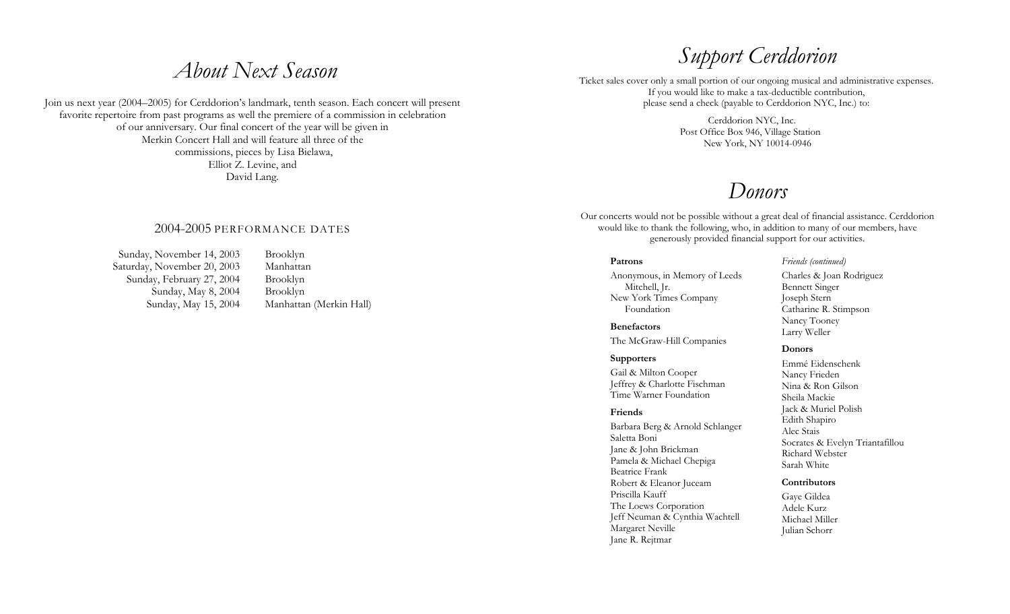## *About Next Season*

Join us next year (2004–2005) for Cerddorion's landmark, tenth season. Each concert will present favorite repertoire from past programs as well the premiere of a commission in celebration of our anniversary. Our final concert of the year will be given in Merkin Concert Hall and will feature all three of the commissions, pieces by Lisa Bielawa, Elliot Z. Levine, and David Lang.

## 2004-2005 PERFORMANCE DATES

Sunday, November 14, 2003 Brooklyn Saturday, November 20, 2003 Manhattan Sunday, February 27, 2004 Brooklyn Sunday, May 8, 2004 Brooklyn

Sunday, May 15, 2004 Manhattan (Merkin Hall)

# *Support Cerddorion*

Ticket sales cover only a small portion of our ongoing musical and administrative expenses. If you would like to make a tax-deductible contribution, please send a check (payable to Cerddorion NYC, Inc.) to:

> Cerddorion NYC, Inc. Post Office Box 946, Village Station New York, NY 10014-0946

## *Donors*

Our concerts would not be possible without a great deal of financial assistance. Cerddorion would like to thank the following, who, in addition to many of our members, have generously provided financial support for our activities.

## **Patrons**

Anonymous, in Memory of Leeds Mitchell, Jr. New York Times Company Foundation

**Benefactors** The McGraw-Hill Companies

#### **Supporters**

Gail & Milton Cooper Jeffrey & Charlotte Fischman Time Warner Foundation

### **Friends**

Barbara Berg & Arnold Schlanger Saletta Boni Jane & John Brickman Pamela & Michael Chepiga Beatrice Frank Robert & Eleanor Juceam Priscilla Kauff The Loews Corporation Jeff Neuman & Cynthia Wachtell Margaret Neville Jane R. Rejtmar

*Friends (continued)* 

Charles & Joan Rodriguez Bennett Singer Joseph Stern Catharine R. Stimpson Nancy Tooney Larry Weller

#### **Donors**

Emmé Eidenschenk Nancy Frieden Nina & Ron Gilson Sheila Mackie Jack & Muriel Polish Edith Shapiro Alec Stais Socrates & Evelyn Triantafillou Richard Webster Sarah White

#### **Contributors**

Gaye Gildea Adele Kurz Michael Miller Julian Schorr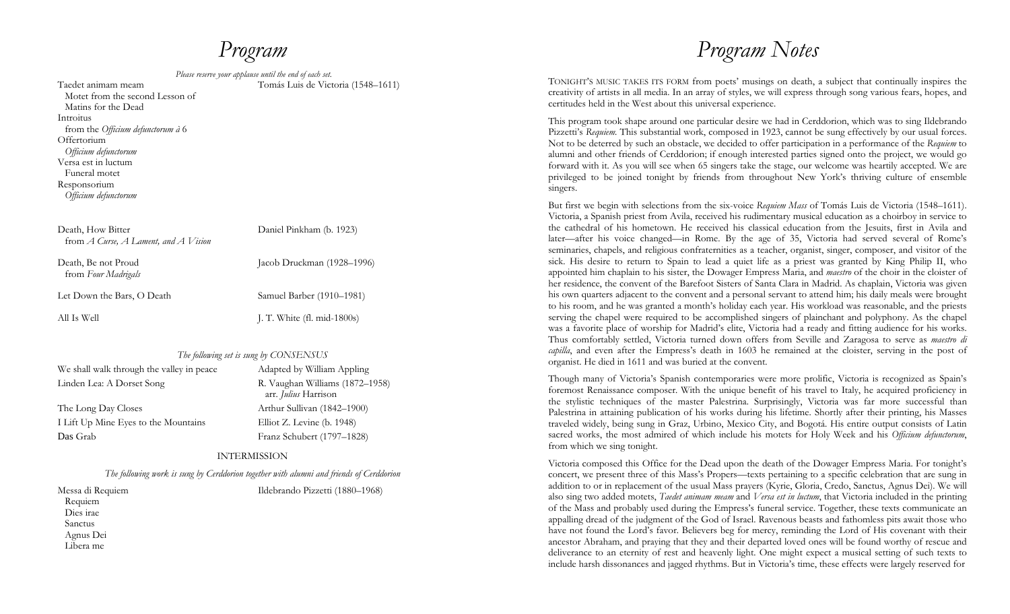## *Program*

| Please reserve your applause until the end of each set.                      |                                    |
|------------------------------------------------------------------------------|------------------------------------|
| Taedet animam meam<br>Motet from the second Lesson of<br>Matins for the Dead | Tomás Luis de Victoria (1548–1611) |
| Introitus                                                                    |                                    |
| from the Officium defunctorum à 6<br>Offertorium<br>Officium defunctorum     |                                    |
| Versa est in luctum                                                          |                                    |
| Funeral motet<br>Responsorium<br>Officium defunctorum                        |                                    |
| Death, How Bitter<br>from $A$ Curse, $A$ Lament, and $A$ Vision              | Daniel Pinkham (b. 1923)           |
| Death, Be not Proud<br>from Four Madrigals                                   | Jacob Druckman (1928–1996)         |
| Let Down the Bars, O Death                                                   | Samuel Barber (1910–1981)          |
| All Is Well                                                                  | J. T. White $(fl. mid-1800s)$      |
|                                                                              |                                    |

### *The following set is sung by CONSENSUS*

| We shall walk through the valley in peace | Adapted by William Appling                              |
|-------------------------------------------|---------------------------------------------------------|
| Linden Lea: A Dorset Song                 | R. Vaughan Williams (1872-1958)<br>arr. Julius Harrison |
| The Long Day Closes                       | Arthur Sullivan (1842–1900)                             |
| I Lift Up Mine Eyes to the Mountains      | Elliot Z. Levine $(b. 1948)$                            |
| Das Grab                                  | Franz Schubert (1797-1828)                              |

### INTERMISSION

*The following work is sung by Cerddorion together with alumni and friends of Cerddorion* 

Messa di Requiem Requiem Dies irae Sanctus Agnus Dei Libera me

Ildebrando Pizzetti (1880–1968)

## *Program Notes*

TONIGHT'S MUSIC TAKES ITS FORM from poets' musings on death, a subject that continually inspires the creativity of artists in all media. In an array of styles, we will express through song various fears, hopes, and certitudes held in the West about this universal experience.

This program took shape around one particular desire we had in Cerddorion, which was to sing Ildebrando Pizzetti's *Requiem*. This substantial work, composed in 1923, cannot be sung effectively by our usual forces. Not to be deterred by such an obstacle, we decided to offer participation in a performance of the *Requiem* to alumni and other friends of Cerddorion; if enough interested parties signed onto the project, we would go forward with it. As you will see when 65 singers take the stage, our welcome was heartily accepted. We are privileged to be joined tonight by friends from throughout New York's thriving culture of ensemble singers.

But first we begin with selections from the six-voice *Requiem Mass* of Tomás Luis de Victoria (1548–1611). Victoria, a Spanish priest from Avila, received his rudimentary musical education as a choirboy in service to the cathedral of his hometown. He received his classical education from the Jesuits, first in Avila and later—after his voice changed—in Rome. By the age of 35, Victoria had served several of Rome's seminaries, chapels, and religious confraternities as a teacher, organist, singer, composer, and visitor of the sick. His desire to return to Spain to lead a quiet life as a priest was granted by King Philip II, who appointed him chaplain to his sister, the Dowager Empress Maria, and *maestro* of the choir in the cloister of her residence, the convent of the Barefoot Sisters of Santa Clara in Madrid. As chaplain, Victoria was given his own quarters adjacent to the convent and a personal servant to attend him; his daily meals were brought to his room, and he was granted a month's holiday each year. His workload was reasonable, and the priests serving the chapel were required to be accomplished singers of plainchant and polyphony. As the chapel was a favorite place of worship for Madrid's elite, Victoria had a ready and fitting audience for his works. Thus comfortably settled, Victoria turned down offers from Seville and Zaragosa to serve as *maestro di capilla*, and even after the Empress's death in 1603 he remained at the cloister, serving in the post of organist. He died in 1611 and was buried at the convent.

Though many of Victoria's Spanish contemporaries were more prolific, Victoria is recognized as Spain's foremost Renaissance composer. With the unique benefit of his travel to Italy, he acquired proficiency in the stylistic techniques of the master Palestrina. Surprisingly, Victoria was far more successful than Palestrina in attaining publication of his works during his lifetime. Shortly after their printing, his Masses traveled widely, being sung in Graz, Urbino, Mexico City, and Bogotá. His entire output consists of Latin sacred works, the most admired of which include his motets for Holy Week and his *Officium defunctorum*, from which we sing tonight.

Victoria composed this Office for the Dead upon the death of the Dowager Empress Maria. For tonight's concert, we present three of this Mass's Propers—texts pertaining to a specific celebration that are sung in addition to or in replacement of the usual Mass prayers (Kyrie, Gloria, Credo, Sanctus, Agnus Dei). We will also sing two added motets, *Taedet animam meam* and *Versa est in luctum*, that Victoria included in the printing of the Mass and probably used during the Empress's funeral service. Together, these texts communicate an appalling dread of the judgment of the God of Israel. Ravenous beasts and fathomless pits await those who have not found the Lord's favor. Believers beg for mercy, reminding the Lord of His covenant with their ancestor Abraham, and praying that they and their departed loved ones will be found worthy of rescue and deliverance to an eternity of rest and heavenly light. One might expect a musical setting of such texts to include harsh dissonances and jagged rhythms. But in Victoria's time, these effects were largely reserved for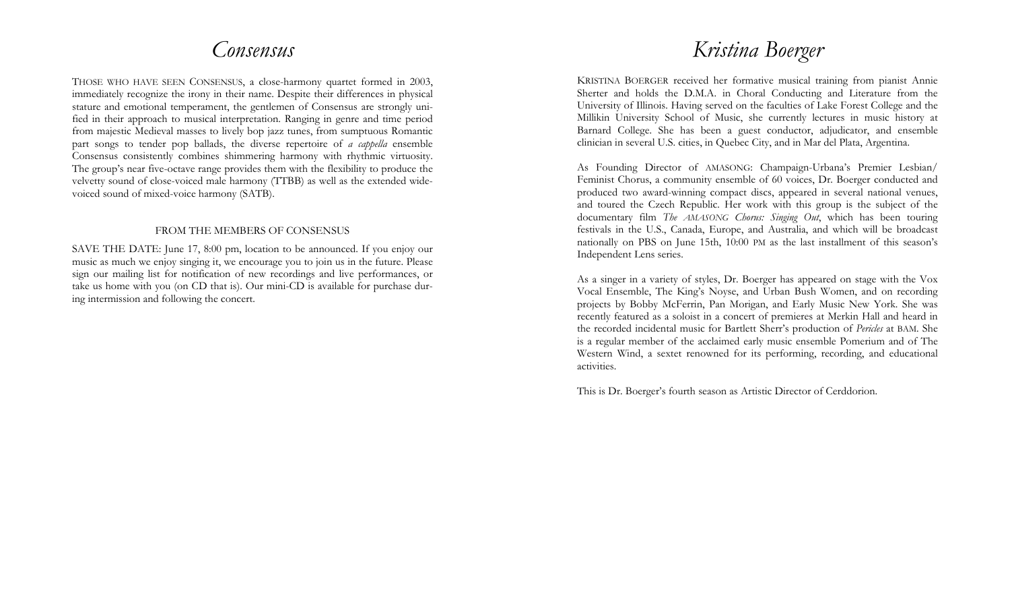## *Consensus*

THOSE WHO HAVE SEEN CONSENSUS, a close-harmony quartet formed in 2003, immediately recognize the irony in their name. Despite their differences in physical stature and emotional temperament, the gentlemen of Consensus are strongly unified in their approach to musical interpretation. Ranging in genre and time period from majestic Medieval masses to lively bop jazz tunes, from sumptuous Romantic part songs to tender pop ballads, the diverse repertoire of *a cappella* ensemble Consensus consistently combines shimmering harmony with rhythmic virtuosity. The group's near five-octave range provides them with the flexibility to produce the velvetty sound of close-voiced male harmony (TTBB) as well as the extended widevoiced sound of mixed-voice harmony (SATB).

## FROM THE MEMBERS OF CONSENSUS

SAVE THE DATE: June 17, 8:00 pm, location to be announced. If you enjoy our music as much we enjoy singing it, we encourage you to join us in the future. Please sign our mailing list for notification of new recordings and live performances, or take us home with you (on CD that is). Our mini-CD is available for purchase during intermission and following the concert.

## *Kristina Boerger*

KRISTINA BOERGER received her formative musical training from pianist Annie Sherter and holds the D.M.A. in Choral Conducting and Literature from the University of Illinois. Having served on the faculties of Lake Forest College and the Millikin University School of Music, she currently lectures in music history at Barnard College. She has been a guest conductor, adjudicator, and ensemble clinician in several U.S. cities, in Quebec City, and in Mar del Plata, Argentina.

As Founding Director of AMASONG: Champaign-Urbana's Premier Lesbian/ Feminist Chorus, a community ensemble of 60 voices, Dr. Boerger conducted and produced two award-winning compact discs, appeared in several national venues, and toured the Czech Republic. Her work with this group is the subject of the documentary film *The AMASONG Chorus: Singing Out*, which has been touring festivals in the U.S., Canada, Europe, and Australia, and which will be broadcast nationally on PBS on June 15th, 10:00 PM as the last installment of this season's Independent Lens series.

As a singer in a variety of styles, Dr. Boerger has appeared on stage with the Vox Vocal Ensemble, The King's Noyse, and Urban Bush Women, and on recording projects by Bobby McFerrin, Pan Morigan, and Early Music New York. She was recently featured as a soloist in a concert of premieres at Merkin Hall and heard in the recorded incidental music for Bartlett Sherr's production of *Pericles* at BAM. She is a regular member of the acclaimed early music ensemble Pomerium and of The Western Wind, a sextet renowned for its performing, recording, and educational activities.

This is Dr. Boerger's fourth season as Artistic Director of Cerddorion.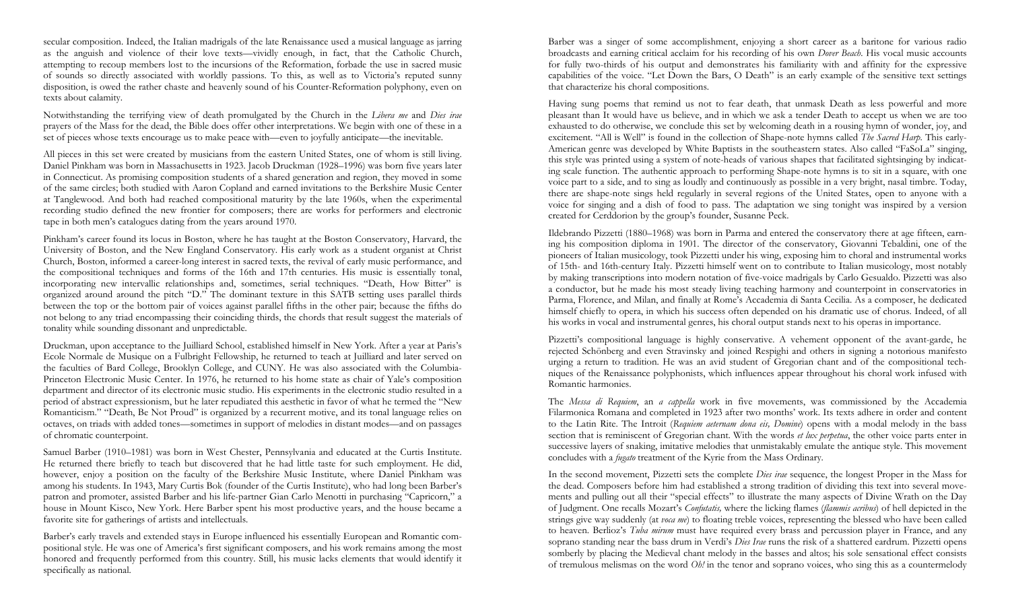secular composition. Indeed, the Italian madrigals of the late Renaissance used a musical language as jarring as the anguish and violence of their love texts—vividly enough, in fact, that the Catholic Church, attempting to recoup members lost to the incursions of the Reformation, forbade the use in sacred music of sounds so directly associated with worldly passions. To this, as well as to Victoria's reputed sunny disposition, is owed the rather chaste and heavenly sound of his Counter-Reformation polyphony, even on texts about calamity.

Notwithstanding the terrifying view of death promulgated by the Church in the *Libera me* and *Dies irae* prayers of the Mass for the dead, the Bible does offer other interpretations. We begin with one of these in a set of pieces whose texts encourage us to make peace with—even to joyfully anticipate—the inevitable.

All pieces in this set were created by musicians from the eastern United States, one of whom is still living. Daniel Pinkham was born in Massachusetts in 1923. Jacob Druckman (1928–1996) was born five years later in Connecticut. As promising composition students of a shared generation and region, they moved in some of the same circles; both studied with Aaron Copland and earned invitations to the Berkshire Music Center at Tanglewood. And both had reached compositional maturity by the late 1960s, when the experimental recording studio defined the new frontier for composers; there are works for performers and electronic tape in both men's catalogues dating from the years around 1970.

Pinkham's career found its locus in Boston, where he has taught at the Boston Conservatory, Harvard, the University of Boston, and the New England Conservatory. His early work as a student organist at Christ Church, Boston, informed a career-long interest in sacred texts, the revival of early music performance, and the compositional techniques and forms of the 16th and 17th centuries. His music is essentially tonal, incorporating new intervallic relationships and, sometimes, serial techniques. "Death, How Bitter" is organized around around the pitch "D." The dominant texture in this SATB setting uses parallel thirds between the top or the bottom pair of voices against parallel fifths in the other pair; because the fifths do not belong to any triad encompassing their coinciding thirds, the chords that result suggest the materials of tonality while sounding dissonant and unpredictable.

Druckman, upon acceptance to the Juilliard School, established himself in New York. After a year at Paris's Ecole Normale de Musique on a Fulbright Fellowship, he returned to teach at Juilliard and later served on the faculties of Bard College, Brooklyn College, and CUNY. He was also associated with the Columbia-Princeton Electronic Music Center. In 1976, he returned to his home state as chair of Yale's composition department and director of its electronic music studio. His experiments in the electronic studio resulted in a period of abstract expressionism, but he later repudiated this aesthetic in favor of what he termed the "New Romanticism." "Death, Be Not Proud" is organized by a recurrent motive, and its tonal language relies on octaves, on triads with added tones—sometimes in support of melodies in distant modes—and on passages of chromatic counterpoint.

Samuel Barber (1910–1981) was born in West Chester, Pennsylvania and educated at the Curtis Institute. He returned there briefly to teach but discovered that he had little taste for such employment. He did, however, enjoy a position on the faculty of the Berkshire Music Institute, where Daniel Pinkham was among his students. In 1943, Mary Curtis Bok (founder of the Curtis Institute), who had long been Barber's patron and promoter, assisted Barber and his life-partner Gian Carlo Menotti in purchasing "Capricorn," a house in Mount Kisco, New York. Here Barber spent his most productive years, and the house became a favorite site for gatherings of artists and intellectuals.

Barber's early travels and extended stays in Europe influenced his essentially European and Romantic compositional style. He was one of America's first significant composers, and his work remains among the most honored and frequently performed from this country. Still, his music lacks elements that would identify it specifically as national.

Barber was a singer of some accomplishment, enjoying a short career as a baritone for various radio broadcasts and earning critical acclaim for his recording of his own *Dover Beach*. His vocal music accounts for fully two-thirds of his output and demonstrates his familiarity with and affinity for the expressive capabilities of the voice. "Let Down the Bars, O Death" is an early example of the sensitive text settings that characterize his choral compositions.

Having sung poems that remind us not to fear death, that unmask Death as less powerful and more pleasant than It would have us believe, and in which we ask a tender Death to accept us when we are too exhausted to do otherwise, we conclude this set by welcoming death in a rousing hymn of wonder, joy, and excitement. "All is Well" is found in the collection of Shape-note hymns called *The Sacred Harp*. This early-American genre was developed by White Baptists in the southeastern states. Also called "FaSoLa" singing, this style was printed using a system of note-heads of various shapes that facilitated sightsinging by indicating scale function. The authentic approach to performing Shape-note hymns is to sit in a square, with one voice part to a side, and to sing as loudly and continuously as possible in a very bright, nasal timbre. Today, there are shape-note sings held regularly in several regions of the United States, open to anyone with a voice for singing and a dish of food to pass. The adaptation we sing tonight was inspired by a version created for Cerddorion by the group's founder, Susanne Peck.

Ildebrando Pizzetti (1880–1968) was born in Parma and entered the conservatory there at age fifteen, earning his composition diploma in 1901. The director of the conservatory, Giovanni Tebaldini, one of the pioneers of Italian musicology, took Pizzetti under his wing, exposing him to choral and instrumental works of 15th- and 16th-century Italy. Pizzetti himself went on to contribute to Italian musicology, most notably by making transcriptions into modern notation of five-voice madrigals by Carlo Gesualdo. Pizzetti was also a conductor, but he made his most steady living teaching harmony and counterpoint in conservatories in Parma, Florence, and Milan, and finally at Rome's Accademia di Santa Cecilia. As a composer, he dedicated himself chiefly to opera, in which his success often depended on his dramatic use of chorus. Indeed, of all his works in vocal and instrumental genres, his choral output stands next to his operas in importance.

Pizzetti's compositional language is highly conservative. A vehement opponent of the avant-garde, he rejected Schönberg and even Stravinsky and joined Respighi and others in signing a notorious manifesto urging a return to tradition. He was an avid student of Gregorian chant and of the compositional techniques of the Renaissance polyphonists, which influences appear throughout his choral work infused with Romantic harmonies.

The *Messa di Requiem*, an *a cappella* work in five movements, was commissioned by the Accademia Filarmonica Romana and completed in 1923 after two months' work. Its texts adhere in order and content to the Latin Rite. The Introit (*Requiem aeternam dona eis, Domine*) opens with a modal melody in the bass section that is reminiscent of Gregorian chant. With the words *et lux perpetua*, the other voice parts enter in successive layers of snaking, imitative melodies that unmistakably emulate the antique style. This movement concludes with a *fugato* treatment of the Kyrie from the Mass Ordinary.

In the second movement, Pizzetti sets the complete *Dies irae* sequence, the longest Proper in the Mass for the dead. Composers before him had established a strong tradition of dividing this text into several movements and pulling out all their "special effects" to illustrate the many aspects of Divine Wrath on the Day of Judgment. One recalls Mozart's *Confutatis,* where the licking flames (*flammis acribus*) of hell depicted in the strings give way suddenly (at *voca me*) to floating treble voices, representing the blessed who have been called to heaven. Berlioz's *Tuba mirum* must have required every brass and percussion player in France, and any soprano standing near the bass drum in Verdi's *Dies Irae* runs the risk of a shattered eardrum. Pizzetti opens somberly by placing the Medieval chant melody in the basses and altos; his sole sensational effect consists of tremulous melismas on the word *Oh!* in the tenor and soprano voices, who sing this as a countermelody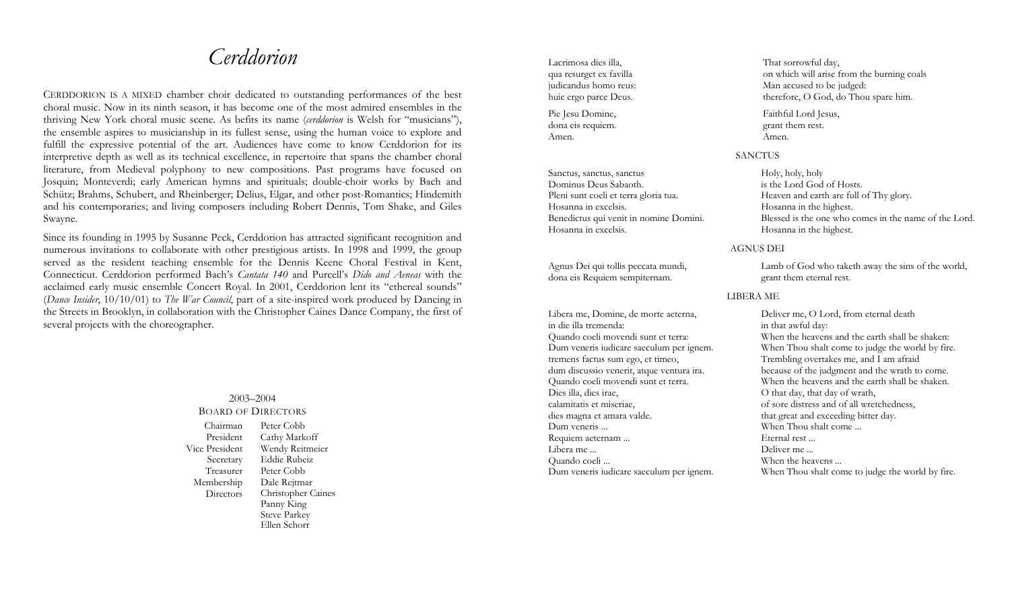## *Cerddorion*

CERDDORION IS A MIXED chamber choir dedicated to outstanding performances of the best choral music. Now in its ninth season, it has become one of the most admired ensembles in the thriving New York choral music scene. As befits its name (*cerddorion* is Welsh for "musicians"), the ensemble aspires to musicianship in its fullest sense, using the human voice to explore and fulfill the expressive potential of the art. Audiences have come to know Cerddorion for its interpretive depth as well as its technical excellence, in repertoire that spans the chamber choral literature, from Medieval polyphony to new compositions. Past programs have focused on Josquin; Monteverdi; early American hymns and spirituals; double-choir works by Bach and Schütz; Brahms, Schubert, and Rheinberger; Delius, Elgar, and other post-Romantics; Hindemith and his contemporaries; and living composers including Robert Dennis, Tom Shake, and Giles Swayne.

Since its founding in 1995 by Susanne Peck, Cerddorion has attracted significant recognition and numerous invitations to collaborate with other prestigious artists. In 1998 and 1999, the group served as the resident teaching ensemble for the Dennis Keene Choral Festival in Kent, Connecticut. Cerddorion performed Bach's *Cantata 140* and Purcell's *Dido and Aeneas* with the acclaimed early music ensemble Concert Royal. In 2001, Cerddorion lent its "ethereal sounds" (*Dance Insider*, 10/10/01) to *The War Council*, part of a site-inspired work produced by Dancing in the Streets in Brooklyn, in collaboration with the Christopher Caines Dance Company, the first of several projects with the choreographer.

#### 2003–2004 BOARD OF DIRECTORSChairman Peter Cobb President Cathy Markoff Vice President Wendy Reitmeier Secretary Eddie Rubeiz Treasurer Peter Cobb Membership **Directors** Dale Rejtmar Christopher Caines Panny King Steve Parkey Ellen Schorr

Lacrimosa dies illa, qua resurget ex favilla judicandus homo reus: huic ergo parce Deus.

Pie Jesu Domine, dona eis requiem. Amen.

Sanctus, sanctus, sanctus Dominus Deus Sabaoth. Pleni sunt coeli et terra gloria tua. Hosanna in excelsis. Benedictus qui venit in nomine Domini. Hosanna in excelsis.

Agnus Dei qui tollis peccata mundi, dona eis Requiem sempiternam.

Libera me, Domine, de morte aeterna, in die illa tremenda: Quando coeli movendi sunt et terra: Dum veneris iudicare saeculum per ignem. tremens factus sum ego, et timeo, dum discussio venerit, atque ventura ira. Quando coeli movendi sunt et terra. Dies illa, dies irae, calamitatis et miseriae, dies magna et amara valde. Dum veneris ... Requiem aeternam ... Libera me ... Quando coeli ... Dum veneris iudicare saeculum per ignem. That sorrowful day, on which will arise from the burning coals Man accused to be judged: therefore, O God, do Thou spare him.

Faithful Lord Jesus, grant them rest. Amen.

**SANCTUS** 

Holy, holy, holy is the Lord God of Hosts. Heaven and earth are full of Thy glory. Hosanna in the highest. Blessed is the one who comes in the name of the Lord. Hosanna in the highest.

AGNUS DEI

Lamb of God who taketh away the sins of the world, grant them eternal rest.

### LIBERA ME

Deliver me, O Lord, from eternal death in that awful day: When the heavens and the earth shall be shaken: When Thou shalt come to judge the world by fire. Trembling overtakes me, and I am afraid because of the judgment and the wrath to come. When the heavens and the earth shall be shaken. O that day, that day of wrath, of sore distress and of all wretchedness, that great and exceeding bitter day. When Thou shalt come ... Eternal rest ... Deliver me ... When the heavens ... When Thou shalt come to judge the world by fire.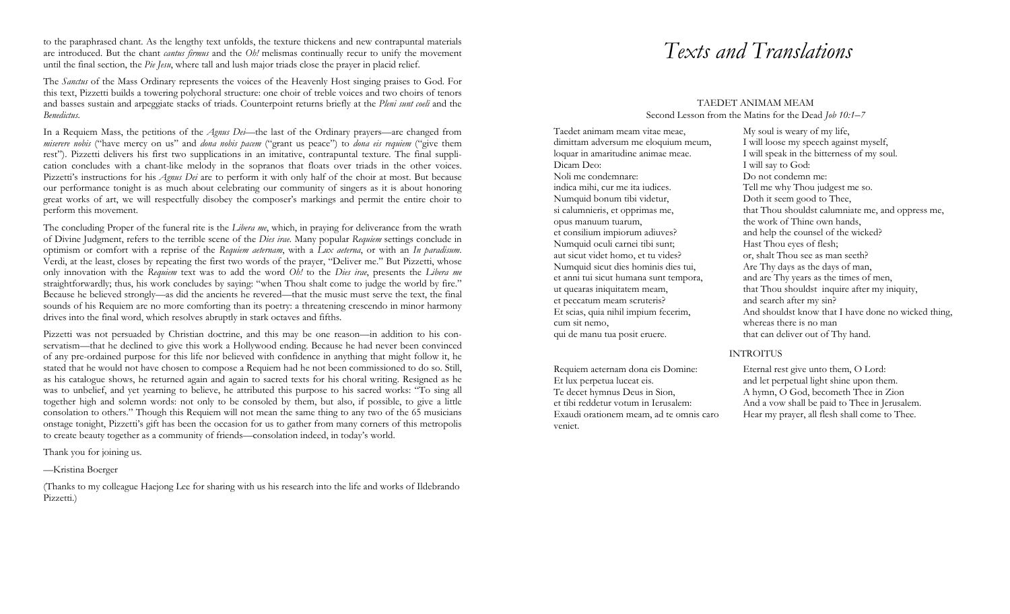to the paraphrased chant. As the lengthy text unfolds, the texture thickens and new contrapuntal materials are introduced. But the chant *cantus firmus* and the *Oh!* melismas continually recur to unify the movement until the final section, the *Pie Jesu*, where tall and lush major triads close the prayer in placid relief.

The *Sanctus* of the Mass Ordinary represents the voices of the Heavenly Host singing praises to God. For this text, Pizzetti builds a towering polychoral structure: one choir of treble voices and two choirs of tenors and basses sustain and arpeggiate stacks of triads. Counterpoint returns briefly at the *Pleni sunt coeli* and the *Benedictus*.

In a Requiem Mass, the petitions of the *Agnus Dei*—the last of the Ordinary prayers—are changed from *miserere nobis* ("have mercy on us" and *dona nobis pacem* ("grant us peace") to *dona eis requiem* ("give them rest"). Pizzetti delivers his first two supplications in an imitative, contrapuntal texture. The final supplication concludes with a chant-like melody in the sopranos that floats over triads in the other voices. Pizzetti's instructions for his *Agnus Dei* are to perform it with only half of the choir at most. But because our performance tonight is as much about celebrating our community of singers as it is about honoring great works of art, we will respectfully disobey the composer's markings and permit the entire choir to perform this movement.

The concluding Proper of the funeral rite is the *Libera me*, which, in praying for deliverance from the wrath of Divine Judgment, refers to the terrible scene of the *Dies irae*. Many popular *Requiem* settings conclude in optimism or comfort with a reprise of the *Requiem aeternam*, with a *Lux aeterna*, or with an *In paradisum*. Verdi, at the least, closes by repeating the first two words of the prayer, "Deliver me." But Pizzetti, whose only innovation with the *Requiem* text was to add the word *Oh!* to the *Dies irae*, presents the *Libera me* straightforwardly; thus, his work concludes by saying: "when Thou shalt come to judge the world by fire." Because he believed strongly—as did the ancients he revered—that the music must serve the text, the final sounds of his Requiem are no more comforting than its poetry: a threatening crescendo in minor harmony drives into the final word, which resolves abruptly in stark octaves and fifths.

Pizzetti was not persuaded by Christian doctrine, and this may be one reason—in addition to his conservatism—that he declined to give this work a Hollywood ending. Because he had never been convinced of any pre-ordained purpose for this life nor believed with confidence in anything that might follow it, he stated that he would not have chosen to compose a Requiem had he not been commissioned to do so. Still, as his catalogue shows, he returned again and again to sacred texts for his choral writing. Resigned as he was to unbelief, and yet yearning to believe, he attributed this purpose to his sacred works: "To sing all together high and solemn words: not only to be consoled by them, but also, if possible, to give a little consolation to others." Though this Requiem will not mean the same thing to any two of the 65 musicians onstage tonight, Pizzetti's gift has been the occasion for us to gather from many corners of this metropolis to create beauty together as a community of friends—consolation indeed, in today's world.

Thank you for joining us.

—Kristina Boerger

(Thanks to my colleague Haejong Lee for sharing with us his research into the life and works of Ildebrando Pizzetti.)

## *Texts and Translations*

## TAEDET ANIMAM MEAM Second Lesson from the Matins for the Dead *Job 10:1* –*7*

Taedet animam meam vitae meae, dimittam adversum me eloquium meum, loquar in amaritudine animae meae. Dicam Deo: Noli me condemnare: indica mihi, cur me ita iudices. Numquid bonum tibi videtur, si calumnieris, et opprimas me, opus manuum tuarum, et consilium impiorum adiuves? Numquid oculi carnei tibi sunt; aut sicut videt homo, et tu vides? Numquid sicut dies hominis dies tui, et anni tui sicut humana sunt tempora, ut quearas iniquitatem meam, et peccatum meam scruteris? Et scias, quia nihil impium fecerim, cum sit nemo, qui de manu tua posit eruere.

Requiem aeternam dona eis Domine: Et lux perpetua luceat eis. Te decet hymnus Deus in Sion, et tibi reddetur votum in Ierusalem: Exaudi orationem meam, ad te omnis caro veniet.

My soul is weary of my life, I will loose my speech against myself, I will speak in the bitterness of my soul. I will say to God: Do not condemn me: Tell me why Thou judgest me so. Doth it seem good to Thee, that Thou shouldst calumniate me, and oppress me, the work of Thine own hands, and help the counsel of the wicked? Hast Thou eyes of flesh; or, shalt Thou see as man seeth? Are Thy days as the days of man, and are Thy years as the times of men, that Thou shouldst inquire after my iniquity, and search after my sin? And shouldst know that I have done no wicked thing, whereas there is no man that can deliver out of Thy hand.

### INTROITUS

Eternal rest give unto them, O Lord: and let perpetual light shine upon them. A hymn, O God, becometh Thee in Zion And a vow shall be paid to Thee in Jerusalem. Hear my prayer, all flesh shall come to Thee.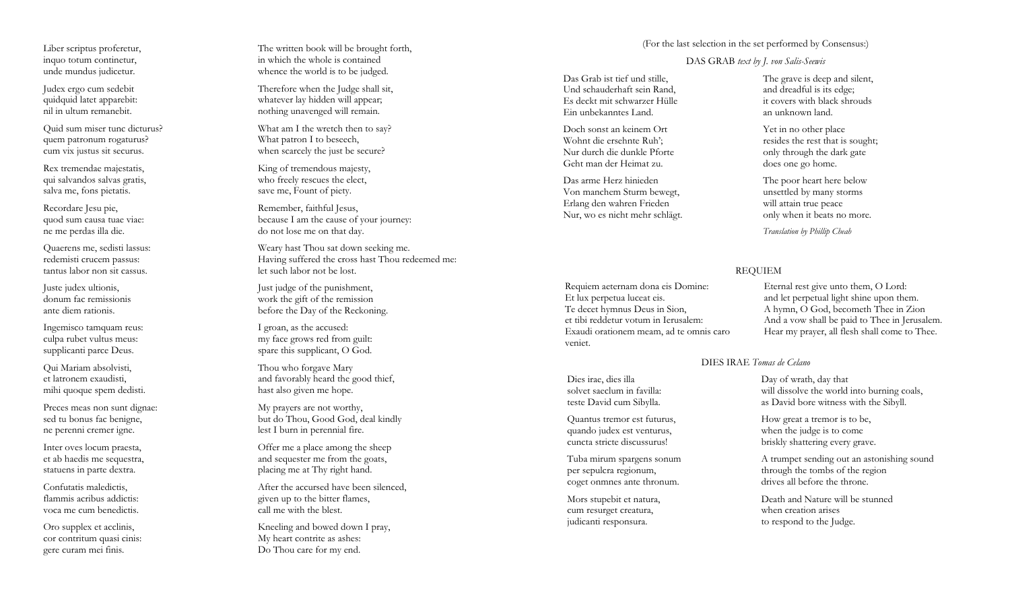Liber scriptus proferetur, inquo totum continetur, unde mundus judicetur.

Judex ergo cum sedebit quidquid latet apparebit: nil in ultum remanebit.

Quid sum miser tunc dicturus? quem patronum rogaturus? cum vix justus sit securus.

Rex tremendae majestatis, qui salvandos salvas gratis, salva me, fons pietatis.

Recordare Jesu pie, quod sum causa tuae viae: ne me perdas illa die.

Quaerens me, sedisti lassus: redemisti crucem passus: tantus labor non sit cassus.

Juste judex ultionis, donum fac remissionis ante diem rationis.

Ingemisco tamquam reus: culpa rubet vultus meus: supplicanti parce Deus.

Qui Mariam absolvisti, et latronem exaudisti, mihi quoque spem dedisti.

Preces meas non sunt dignae: sed tu bonus fac benigne, ne perenni cremer igne.

Inter oves locum praesta, et ab haedis me sequestra, statuens in parte dextra.

Confutatis maledictis, flammis acribus addictis: voca me cum benedictis.

Oro supplex et acclinis, cor contritum quasi cinis: gere curam mei finis.

The written book will be brought forth, in which the whole is contained whence the world is to be judged.

Therefore when the Judge shall sit, whatever lay hidden will appear; nothing unavenged will remain.

What am I the wretch then to say? What patron I to beseech, when scarcely the just be secure?

King of tremendous majesty, who freely rescues the elect, save me, Fount of piety.

Remember, faithful Jesus, because I am the cause of your journey: do not lose me on that day.

Weary hast Thou sat down seeking me. Having suffered the cross hast Thou redeemed me: let such labor not be lost.

Just judge of the punishment, work the gift of the remission before the Day of the Reckoning.

I groan, as the accused: my face grows red from guilt: spare this supplicant, O God.

Thou who forgave Mary and favorably heard the good thief, hast also given me hope.

My prayers are not worthy, but do Thou, Good God, deal kindly lest I burn in perennial fire.

Offer me a place among the sheep and sequester me from the goats, placing me at Thy right hand.

After the accursed have been silenced, given up to the bitter flames, call me with the blest.

Kneeling and bowed down I pray, My heart contrite as ashes: Do Thou care for my end.

(For the last selection in the set performed by Consensus:)

DAS GRAB *text by J. von Salis-Seewis* 

Das Grab ist tief und stille, Und schauderhaft sein Rand, Es deckt mit schwarzer Hülle Ein unbekanntes Land.

Doch sonst an keinem Ort Wohnt die ersehnte Ruh'; Nur durch die dunkle PforteGeht man der Heimat zu.

Das arme Herz hinieden Von manchem Sturm bewegt, Erlang den wahren Frieden Nur, wo es nicht mehr schlägt. The grave is deep and silent, and dreadful is its edge; it covers with black shrouds an unknown land.

Yet in no other place resides the rest that is sought; only through the dark gate does one go home.

The poor heart here below unsettled by many storms will attain true peace only when it beats no more.

*Translation by Phillip Cheah*

## REQUIEM

Eternal rest give unto them, O Lord: and let perpetual light shine upon them. A hymn, O God, becometh Thee in Zion And a vow shall be paid to Thee in Jerusalem. Hear my prayer, all flesh shall come to Thee.

DIES IRAE *Tomas de Celano* 

Day of wrath, day that will dissolve the world into burning coals, as David bore witness with the Sibyll.

How great a tremor is to be, when the judge is to come briskly shattering every grave.

A trumpet sending out an astonishing sound through the tombs of the region drives all before the throne.

Death and Nature will be stunned when creation arises to respond to the Judge.

Et lux perpetua luceat eis. Te decet hymnus Deus in Sion, et tibi reddetur votum in Ierusalem: Exaudi orationem meam, ad te omnis caro veniet.

Requiem aeternam dona eis Domine:

Dies irae, dies illa solvet saeclum in favilla: teste David cum Sibylla.

Quantus tremor est futurus, quando judex est venturus, cuncta stricte discussurus!

Tuba mirum spargens sonum per sepulcra regionum, coget onmnes ante thronum.

Mors stupebit et natura, cum resurget creatura, judicanti responsura.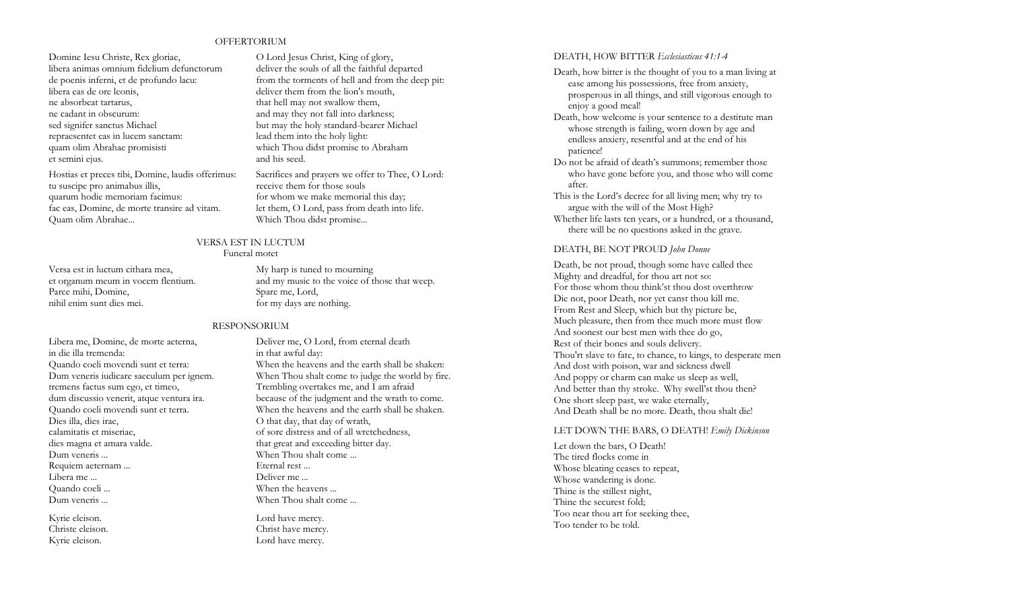## **OFFERTORIUM**

Domine Iesu Christe, Rex gloriae, libera animas omnium fidelium defunctorum de poenis inferni, et de profundo lacu: libera eas de ore leonis, ne absorbeat tartarus, ne cadant in obscurum: sed signifer sanctus Michael repraesentet eas in lucem sanctam: quam olim Abrahae promisisti et semini ejus.

Hostias et preces tibi, Domine, laudis offerimus: tu suscipe pro animabus illis, quarum hodie memoriam facimus: fac eas, Domine, de morte transire ad vitam. Quam olim Abrahae...

Versa est in luctum cithara mea, et organum meum in vocem flentium. Parce mihi, Domine, nihil enim sunt dies mei.

Libera me, Domine, de morte aeterna, in die illa tremenda: Quando coeli movendi sunt et terra: Dum veneris iudicare saeculum per ignem. tremens factus sum ego, et timeo, dum discussio venerit, atque ventura ira. Quando coeli movendi sunt et terra. Dies illa, dies irae, calamitatis et miseriae, dies magna et amara valde. Dum veneris ... Requiem aeternam ... Libera me ... Quando coeli ... Dum veneris ...

Kyrie eleison. Christe eleison. Kyrie eleison.

O Lord Jesus Christ, King of glory, deliver the souls of all the faithful departed from the torments of hell and from the deep pit: deliver them from the lion's mouth, that hell may not swallow them, and may they not fall into darkness; but may the holy standard-bearer Michael lead them into the holy light: which Thou didst promise to Abraham and his seed.

Sacrifices and prayers we offer to Thee, O Lord: receive them for those souls for whom we make memorial this day; let them, O Lord, pass from death into life. Which Thou didst promise...

### VERSA EST IN LUCTUM Funeral motet

My harp is tuned to mourning and my music to the voice of those that weep. Spare me, Lord, for my days are nothing.

## RESPONSORIUM

Deliver me, O Lord, from eternal death in that awful day: When the heavens and the earth shall be shaken: When Thou shalt come to judge the world by fire. Trembling overtakes me, and I am afraid because of the judgment and the wrath to come. When the heavens and the earth shall be shaken. O that day, that day of wrath, of sore distress and of all wretchedness, that great and exceeding bitter day. When Thou shalt come ... Eternal rest ... Deliver me ... When the heavens ... When Thou shalt come ...

Lord have mercy. Christ have mercy. Lord have mercy.

### DEATH, HOW BITTER *Ecclesiasticus 41:1-4*

- Death, how bitter is the thought of you to a man living at ease among his possessions, free from anxiety, prosperous in all things, and still vigorous enough to enjoy a good meal!
- Death, how welcome is your sentence to a destitute man whose strength is failing, worn down by age and endless anxiety, resentful and at the end of his patience!
- Do not be afraid of death's summons; remember those who have gone before you, and those who will come after.
- This is the Lord's decree for all living men; why try to argue with the will of the Most High?

Whether life lasts ten years, or a hundred, or a thousand, there will be no questions asked in the grave.

### DEATH, BE NOT PROUD *John Donne*

Death, be not proud, though some have called thee Mighty and dreadful, for thou art not so: For those whom thou think'st thou dost overthrow Die not, poor Death, nor yet canst thou kill me. From Rest and Sleep, which but thy picture be, Much pleasure, then from thee much more must flow And soonest our best men with thee do go, Rest of their bones and souls delivery. Thou'rt slave to fate, to chance, to kings, to desperate men And dost with poison, war and sickness dwell And poppy or charm can make us sleep as well, And better than thy stroke. Why swell'st thou then? One short sleep past, we wake eternally, And Death shall be no more. Death, thou shalt die!

### LET DOWN THE BARS, O DEATH! *Emily Dickinson*

Let down the bars, O Death! The tired flocks come in Whose bleating ceases to repeat, Whose wandering is done. Thine is the stillest night, Thine the securest fold; Too near thou art for seeking thee, Too tender to be told.